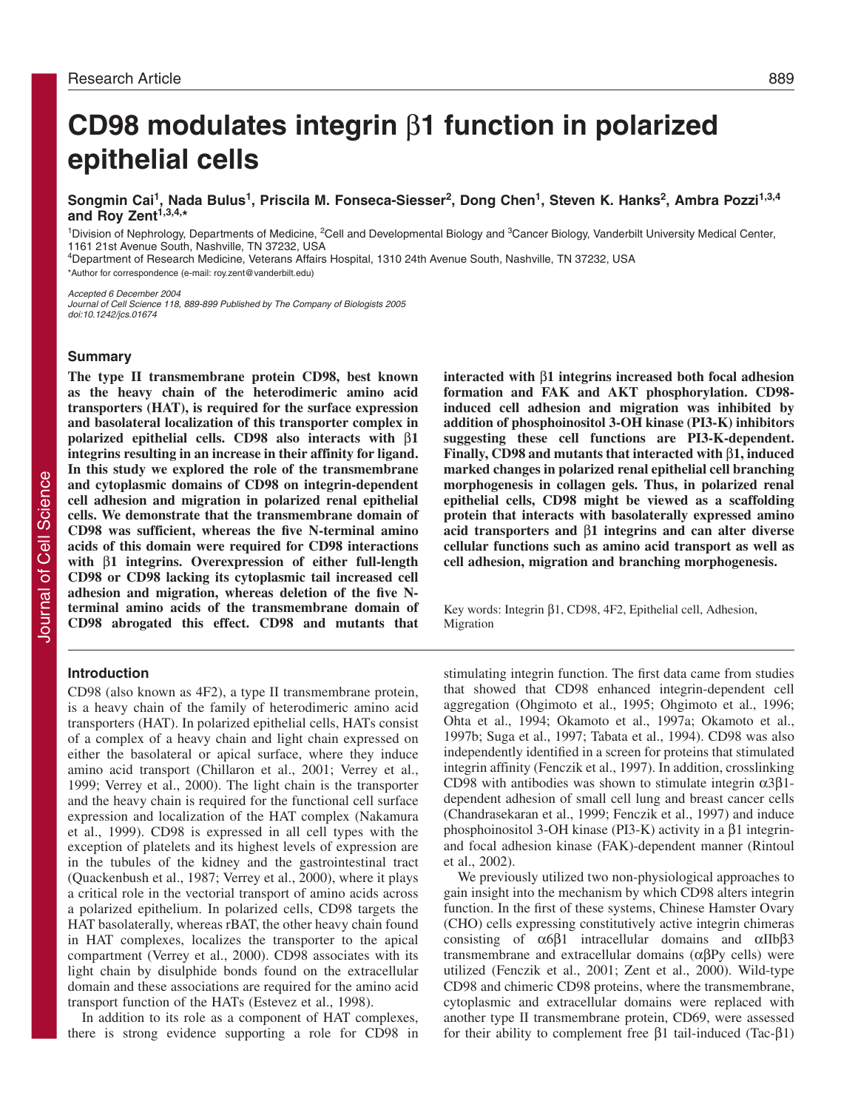# **CD98 modulates integrin** β**1 function in polarized epithelial cells**

Songmin Cai<sup>1</sup>, Nada Bulus<sup>1</sup>, Priscila M. Fonseca-Siesser<sup>2</sup>, Dong Chen<sup>1</sup>, Steven K. Hanks<sup>2</sup>, Ambra Pozzi<sup>1,3,4</sup> **and Roy Zent1,3,4,\***

<sup>1</sup>Division of Nephrology, Departments of Medicine, <sup>2</sup>Cell and Developmental Biology and <sup>3</sup>Cancer Biology, Vanderbilt University Medical Center, 1161 21st Avenue South, Nashville, TN 37232, USA

4Department of Research Medicine, Veterans Affairs Hospital, 1310 24th Avenue South, Nashville, TN 37232, USA

\*Author for correspondence (e-mail: roy.zent@vanderbilt.edu)

Accepted 6 December 2004 Journal of Cell Science 118, 889-899 Published by The Company of Biologists 2005 doi:10.1242/jcs.01674

#### **Summary**

**The type II transmembrane protein CD98, best known as the heavy chain of the heterodimeric amino acid transporters (HAT), is required for the surface expression and basolateral localization of this transporter complex in polarized epithelial cells. CD98 also interacts with** β**1 integrins resulting in an increase in their affinity for ligand. In this study we explored the role of the transmembrane and cytoplasmic domains of CD98 on integrin-dependent cell adhesion and migration in polarized renal epithelial cells. We demonstrate that the transmembrane domain of CD98 was sufficient, whereas the five N-terminal amino acids of this domain were required for CD98 interactions with** β**1 integrins. Overexpression of either full-length CD98 or CD98 lacking its cytoplasmic tail increased cell adhesion and migration, whereas deletion of the five Nterminal amino acids of the transmembrane domain of CD98 abrogated this effect. CD98 and mutants that**

#### **Introduction**

CD98 (also known as 4F2), a type II transmembrane protein, is a heavy chain of the family of heterodimeric amino acid transporters (HAT). In polarized epithelial cells, HATs consist of a complex of a heavy chain and light chain expressed on either the basolateral or apical surface, where they induce amino acid transport (Chillaron et al., 2001; Verrey et al., 1999; Verrey et al., 2000). The light chain is the transporter and the heavy chain is required for the functional cell surface expression and localization of the HAT complex (Nakamura et al., 1999). CD98 is expressed in all cell types with the exception of platelets and its highest levels of expression are in the tubules of the kidney and the gastrointestinal tract (Quackenbush et al., 1987; Verrey et al., 2000), where it plays a critical role in the vectorial transport of amino acids across a polarized epithelium. In polarized cells, CD98 targets the HAT basolaterally, whereas rBAT, the other heavy chain found in HAT complexes, localizes the transporter to the apical compartment (Verrey et al., 2000). CD98 associates with its light chain by disulphide bonds found on the extracellular domain and these associations are required for the amino acid transport function of the HATs (Estevez et al., 1998).

In addition to its role as a component of HAT complexes, there is strong evidence supporting a role for CD98 in **interacted with** β**1 integrins increased both focal adhesion formation and FAK and AKT phosphorylation. CD98 induced cell adhesion and migration was inhibited by addition of phosphoinositol 3-OH kinase (PI3-K) inhibitors suggesting these cell functions are PI3-K-dependent. Finally, CD98 and mutants that interacted with** β**1, induced marked changes in polarized renal epithelial cell branching morphogenesis in collagen gels. Thus, in polarized renal epithelial cells, CD98 might be viewed as a scaffolding protein that interacts with basolaterally expressed amino acid transporters and** β**1 integrins and can alter diverse cellular functions such as amino acid transport as well as cell adhesion, migration and branching morphogenesis.** 

Key words: Integrin β1, CD98, 4F2, Epithelial cell, Adhesion, Migration

stimulating integrin function. The first data came from studies that showed that CD98 enhanced integrin-dependent cell aggregation (Ohgimoto et al., 1995; Ohgimoto et al., 1996; Ohta et al., 1994; Okamoto et al., 1997a; Okamoto et al., 1997b; Suga et al., 1997; Tabata et al., 1994). CD98 was also independently identified in a screen for proteins that stimulated integrin affinity (Fenczik et al., 1997). In addition, crosslinking CD98 with antibodies was shown to stimulate integrin  $α3β1$ dependent adhesion of small cell lung and breast cancer cells (Chandrasekaran et al., 1999; Fenczik et al., 1997) and induce phosphoinositol 3-OH kinase (PI3-K) activity in a β1 integrinand focal adhesion kinase (FAK)-dependent manner (Rintoul et al., 2002).

We previously utilized two non-physiological approaches to gain insight into the mechanism by which CD98 alters integrin function. In the first of these systems, Chinese Hamster Ovary (CHO) cells expressing constitutively active integrin chimeras consisting of  $\alpha$ 6 $\beta$ 1 intracellular domains and  $\alpha$ IIb $\beta$ 3 transmembrane and extracellular domains (αβPy cells) were utilized (Fenczik et al., 2001; Zent et al., 2000). Wild-type CD98 and chimeric CD98 proteins, where the transmembrane, cytoplasmic and extracellular domains were replaced with another type II transmembrane protein, CD69, were assessed for their ability to complement free β1 tail-induced (Tac-β1)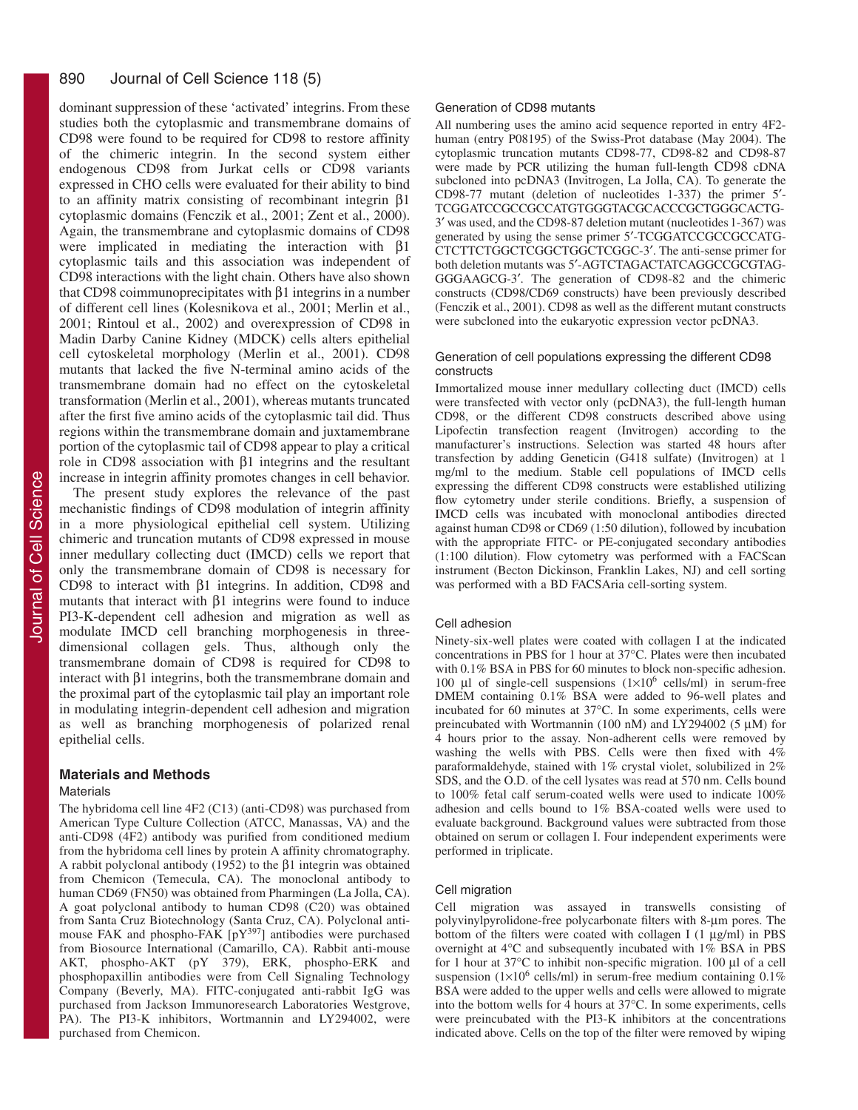#### 890 Journal of Cell Science 118 (5)

dominant suppression of these 'activated' integrins. From these studies both the cytoplasmic and transmembrane domains of CD98 were found to be required for CD98 to restore affinity of the chimeric integrin. In the second system either endogenous CD98 from Jurkat cells or CD98 variants expressed in CHO cells were evaluated for their ability to bind to an affinity matrix consisting of recombinant integrin β1 cytoplasmic domains (Fenczik et al., 2001; Zent et al., 2000). Again, the transmembrane and cytoplasmic domains of CD98 were implicated in mediating the interaction with β1 cytoplasmic tails and this association was independent of CD98 interactions with the light chain. Others have also shown that CD98 coimmunoprecipitates with β1 integrins in a number of different cell lines (Kolesnikova et al., 2001; Merlin et al., 2001; Rintoul et al., 2002) and overexpression of CD98 in Madin Darby Canine Kidney (MDCK) cells alters epithelial cell cytoskeletal morphology (Merlin et al., 2001). CD98 mutants that lacked the five N-terminal amino acids of the transmembrane domain had no effect on the cytoskeletal transformation (Merlin et al., 2001), whereas mutants truncated after the first five amino acids of the cytoplasmic tail did. Thus regions within the transmembrane domain and juxtamembrane portion of the cytoplasmic tail of CD98 appear to play a critical role in CD98 association with β1 integrins and the resultant increase in integrin affinity promotes changes in cell behavior.

The present study explores the relevance of the past mechanistic findings of CD98 modulation of integrin affinity in a more physiological epithelial cell system. Utilizing chimeric and truncation mutants of CD98 expressed in mouse inner medullary collecting duct (IMCD) cells we report that only the transmembrane domain of CD98 is necessary for CD98 to interact with β1 integrins. In addition, CD98 and mutants that interact with  $\beta$ 1 integrins were found to induce PI3-K-dependent cell adhesion and migration as well as modulate IMCD cell branching morphogenesis in threedimensional collagen gels. Thus, although only the transmembrane domain of CD98 is required for CD98 to interact with β1 integrins, both the transmembrane domain and the proximal part of the cytoplasmic tail play an important role in modulating integrin-dependent cell adhesion and migration as well as branching morphogenesis of polarized renal epithelial cells.

#### **Materials and Methods**

#### **Materials**

The hybridoma cell line 4F2 (C13) (anti-CD98) was purchased from American Type Culture Collection (ATCC, Manassas, VA) and the anti-CD98 (4F2) antibody was purified from conditioned medium from the hybridoma cell lines by protein A affinity chromatography. A rabbit polyclonal antibody (1952) to the β1 integrin was obtained from Chemicon (Temecula, CA). The monoclonal antibody to human CD69 (FN50) was obtained from Pharmingen (La Jolla, CA). A goat polyclonal antibody to human CD98 (C20) was obtained from Santa Cruz Biotechnology (Santa Cruz, CA). Polyclonal antimouse FAK and phospho-FAK [pY<sup>397</sup>] antibodies were purchased from Biosource International (Camarillo, CA). Rabbit anti-mouse AKT, phospho-AKT (pY 379), ERK, phospho-ERK and phosphopaxillin antibodies were from Cell Signaling Technology Company (Beverly, MA). FITC-conjugated anti-rabbit IgG was purchased from Jackson Immunoresearch Laboratories Westgrove, PA). The PI3-K inhibitors, Wortmannin and LY294002, were purchased from Chemicon.

#### Generation of CD98 mutants

All numbering uses the amino acid sequence reported in entry 4F2 human (entry P08195) of the Swiss-Prot database (May 2004). The cytoplasmic truncation mutants CD98-77, CD98-82 and CD98-87 were made by PCR utilizing the human full-length CD98 cDNA subcloned into pcDNA3 (Invitrogen, La Jolla, CA). To generate the CD98-77 mutant (deletion of nucleotides 1-337) the primer 5′- TCGGATCCGCCGCCATGTGGGTACGCACCCGCTGGGCACTG-3′ was used, and the CD98-87 deletion mutant (nucleotides 1-367) was generated by using the sense primer 5′-TCGGATCCGCCGCCATG-CTCTTCTGGCTCGGCTGGCTCGGC-3′. The anti-sense primer for both deletion mutants was 5′-AGTCTAGACTATCAGGCCGCGTAG-GGGAAGCG-3′. The generation of CD98-82 and the chimeric constructs (CD98/CD69 constructs) have been previously described (Fenczik et al., 2001). CD98 as well as the different mutant constructs were subcloned into the eukaryotic expression vector pcDNA3.

#### Generation of cell populations expressing the different CD98 constructs

Immortalized mouse inner medullary collecting duct (IMCD) cells were transfected with vector only (pcDNA3), the full-length human CD98, or the different CD98 constructs described above using Lipofectin transfection reagent (Invitrogen) according to the manufacturer's instructions. Selection was started 48 hours after transfection by adding Geneticin (G418 sulfate) (Invitrogen) at 1 mg/ml to the medium. Stable cell populations of IMCD cells expressing the different CD98 constructs were established utilizing flow cytometry under sterile conditions. Briefly, a suspension of IMCD cells was incubated with monoclonal antibodies directed against human CD98 or CD69 (1:50 dilution), followed by incubation with the appropriate FITC- or PE-conjugated secondary antibodies (1:100 dilution). Flow cytometry was performed with a FACScan instrument (Becton Dickinson, Franklin Lakes, NJ) and cell sorting was performed with a BD FACSAria cell-sorting system.

#### Cell adhesion

Ninety-six-well plates were coated with collagen I at the indicated concentrations in PBS for 1 hour at 37°C. Plates were then incubated with  $0.1\%$  BSA in PBS for 60 minutes to block non-specific adhesion. 100 µl of single-cell suspensions  $(1\times10^6 \text{ cells/ml})$  in serum-free DMEM containing 0.1% BSA were added to 96-well plates and incubated for 60 minutes at 37°C. In some experiments, cells were preincubated with Wortmannin (100 nΜ) and LY294002 (5 µM) for 4 hours prior to the assay. Non-adherent cells were removed by washing the wells with PBS. Cells were then fixed with 4% paraformaldehyde, stained with 1% crystal violet, solubilized in 2% SDS, and the O.D. of the cell lysates was read at 570 nm. Cells bound to 100% fetal calf serum-coated wells were used to indicate 100% adhesion and cells bound to 1% BSA-coated wells were used to evaluate background. Background values were subtracted from those obtained on serum or collagen I. Four independent experiments were performed in triplicate.

#### Cell migration

Cell migration was assayed in transwells consisting of polyvinylpyrolidone-free polycarbonate filters with 8-µm pores. The bottom of the filters were coated with collagen I (1 µg/ml) in PBS overnight at 4°C and subsequently incubated with 1% BSA in PBS for 1 hour at 37°C to inhibit non-specific migration. 100 µl of a cell suspension ( $1\times10^6$  cells/ml) in serum-free medium containing 0.1% BSA were added to the upper wells and cells were allowed to migrate into the bottom wells for 4 hours at 37°C. In some experiments, cells were preincubated with the PI3-K inhibitors at the concentrations indicated above. Cells on the top of the filter were removed by wiping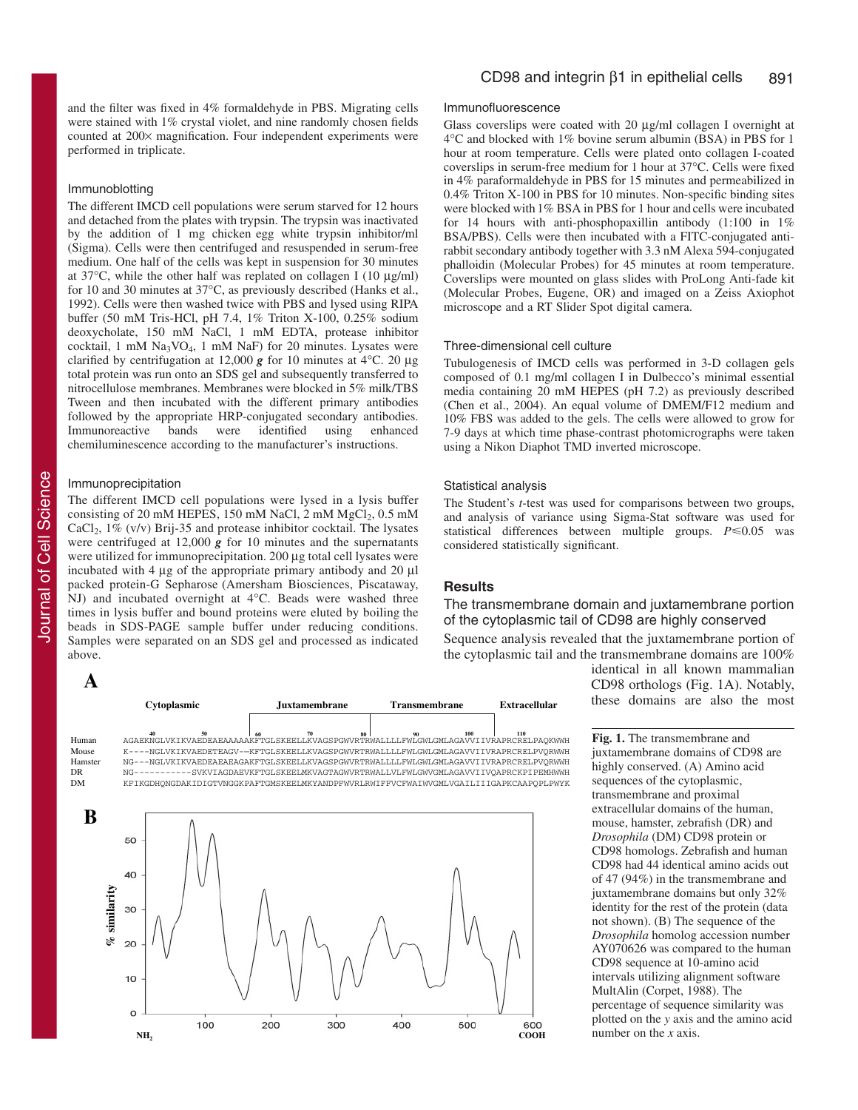and the filter was fixed in 4% formaldehyde in PBS. Migrating cells were stained with 1% crystal violet, and nine randomly chosen fields counted at 200× magnification. Four independent experiments were performed in triplicate.

#### Immunoblotting

The different IMCD cell populations were serum starved for 12 hours and detached from the plates with trypsin. The trypsin was inactivated by the addition of 1 mg chicken egg white trypsin inhibitor/ml (Sigma). Cells were then centrifuged and resuspended in serum-free medium. One half of the cells was kept in suspension for 30 minutes at  $37^{\circ}$ C, while the other half was replated on collagen I (10  $\mu$ g/ml) for 10 and 30 minutes at 37°C, as previously described (Hanks et al., 1992). Cells were then washed twice with PBS and lysed using RIPA buffer (50 mM Tris-HCl, pH 7.4, 1% Triton X-100, 0.25% sodium deoxycholate, 150 mM NaCl, 1 mM EDTA, protease inhibitor cocktail, 1 mM Na3VO4, 1 mM NaF) for 20 minutes. Lysates were clarified by centrifugation at 12,000 *g* for 10 minutes at 4°C. 20 µg total protein was run onto an SDS gel and subsequently transferred to nitrocellulose membranes. Membranes were blocked in 5% milk/TBS Tween and then incubated with the different primary antibodies followed by the appropriate HRP-conjugated secondary antibodies.<br>Immunoreactive bands were identified using enhanced Immunoreactive bands were identified using chemiluminescence according to the manufacturer's instructions.

#### Immunoprecipitation

The different IMCD cell populations were lysed in a lysis buffer consisting of 20 mM HEPES, 150 mM NaCl, 2 mM  $MgCl<sub>2</sub>$ , 0.5 mM  $CaCl<sub>2</sub>$ , 1% (v/v) Brij-35 and protease inhibitor cocktail. The lysates were centrifuged at 12,000 *g* for 10 minutes and the supernatants were utilized for immunoprecipitation. 200 µg total cell lysates were incubated with 4 µg of the appropriate primary antibody and 20 µl packed protein-G Sepharose (Amersham Biosciences, Piscataway, NJ) and incubated overnight at 4°C. Beads were washed three times in lysis buffer and bound proteins were eluted by boiling the beads in SDS-PAGE sample buffer under reducing conditions. Samples were separated on an SDS gel and processed as indicated above.

Journal of Cell Science Journal of Cell Science

**A**



#### Immunofluorescence

Glass coverslips were coated with 20 µg/ml collagen I overnight at 4°C and blocked with 1% bovine serum albumin (BSA) in PBS for 1 hour at room temperature. Cells were plated onto collagen I-coated coverslips in serum-free medium for 1 hour at 37°C. Cells were fixed in 4% paraformaldehyde in PBS for 15 minutes and permeabilized in 0.4% Triton X-100 in PBS for 10 minutes. Non-specific binding sites were blocked with 1% BSA in PBS for 1 hour and cells were incubated for 14 hours with anti-phosphopaxillin antibody (1:100 in 1% BSA/PBS). Cells were then incubated with a FITC-conjugated antirabbit secondary antibody together with 3.3 nM Alexa 594-conjugated phalloidin (Molecular Probes) for 45 minutes at room temperature. Coverslips were mounted on glass slides with ProLong Anti-fade kit (Molecular Probes, Eugene, OR) and imaged on a Zeiss Axiophot microscope and a RT Slider Spot digital camera.

#### Three-dimensional cell culture

Tubulogenesis of IMCD cells was performed in 3-D collagen gels composed of 0.1 mg/ml collagen I in Dulbecco's minimal essential media containing 20 mM HEPES (pH 7.2) as previously described (Chen et al., 2004). An equal volume of DMEM/F12 medium and 10% FBS was added to the gels. The cells were allowed to grow for 7-9 days at which time phase-contrast photomicrographs were taken using a Nikon Diaphot TMD inverted microscope.

#### Statistical analysis

The Student's *t*-test was used for comparisons between two groups, and analysis of variance using Sigma-Stat software was used for statistical differences between multiple groups.  $P \le 0.05$  was considered statistically significant.

#### **Results**

The transmembrane domain and juxtamembrane portion of the cytoplasmic tail of CD98 are highly conserved

Sequence analysis revealed that the juxtamembrane portion of the cytoplasmic tail and the transmembrane domains are 100%

> identical in all known mammalian CD98 orthologs (Fig. 1A). Notably, these domains are also the most

**Fig. 1.** The transmembrane and juxtamembrane domains of CD98 are highly conserved. (A) Amino acid sequences of the cytoplasmic, transmembrane and proximal extracellular domains of the human, mouse, hamster, zebrafish (DR) and *Drosophila* (DM) CD98 protein or CD98 homologs. Zebrafish and human CD98 had 44 identical amino acids out of 47 (94%) in the transmembrane and juxtamembrane domains but only 32% identity for the rest of the protein (data not shown). (B) The sequence of the *Drosophila* homolog accession number AY070626 was compared to the human CD98 sequence at 10-amino acid intervals utilizing alignment software MultAlin (Corpet, 1988). The percentage of sequence similarity was plotted on the *y* axis and the amino acid number on the *x* axis.

## Human AGAEKNGLVKIKVAEDEAEAAAAAKFTGLSKEELLKVAGSPGWVRTRWALLLLFWLGWLGMLAGAVVIIVRAPRCRELPAQKWWH **40 50 60 70 80 90 100 110** Mouse K----NGLVKIKVAEDETEAGV-—KFTGLSKEELLKVAGSPGWVRTRWALLLLFWLGWLGMLAGAVVIIVRAPRCRELPVQRWWH Hamster NG---NGLVKIKVAEDEAEAEAGAKFTGLSKEELLKVAGSPGWVRTRWALLLLFWLGWLGMLAGAVVIIVRAPRCRELPVQRWWH DR NG-----------SVKVIAGDAEVKFTGLSKEELMKVAGTAGWVRTRWALLVLFWLGWVGMLAGAVVIIVQAPRCKPIPEMHWWH DM KFIKGDHQNGDAKIDIGTVNGGKPAFTGMSKEELMKYANDPFWVRLRWIFFVCFWAIWVGMLVGAILIIIGAPKCAAPQPLPWYK

**Cytoplasmic Juxtamembrane Transmembrane Extracellular**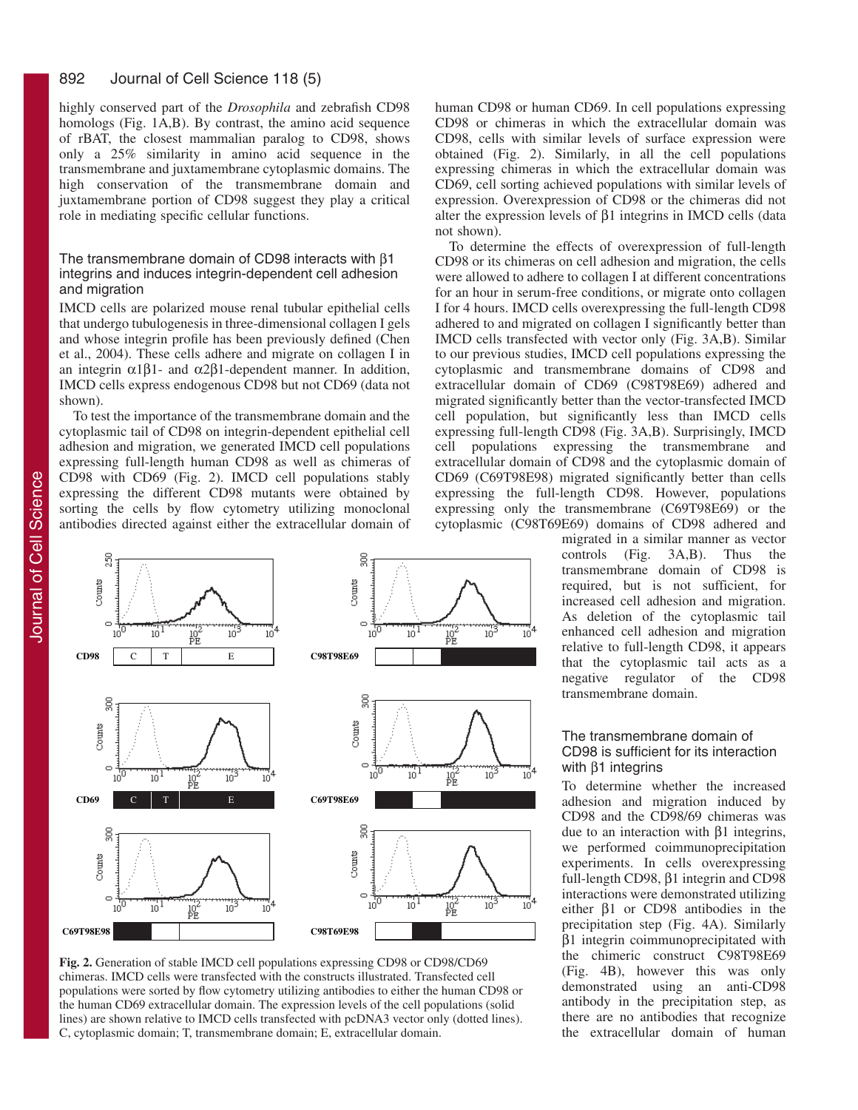highly conserved part of the *Drosophila* and zebrafish CD98 homologs (Fig. 1A,B). By contrast, the amino acid sequence of rBAT, the closest mammalian paralog to CD98, shows only a 25% similarity in amino acid sequence in the transmembrane and juxtamembrane cytoplasmic domains. The high conservation of the transmembrane domain and juxtamembrane portion of CD98 suggest they play a critical role in mediating specific cellular functions.

#### The transmembrane domain of CD98 interacts with β1 integrins and induces integrin-dependent cell adhesion and migration

IMCD cells are polarized mouse renal tubular epithelial cells that undergo tubulogenesis in three-dimensional collagen I gels and whose integrin profile has been previously defined (Chen et al., 2004). These cells adhere and migrate on collagen I in an integrin  $\alpha$ 1β1- and  $\alpha$ 2β1-dependent manner. In addition, IMCD cells express endogenous CD98 but not CD69 (data not shown).

To test the importance of the transmembrane domain and the cytoplasmic tail of CD98 on integrin-dependent epithelial cell adhesion and migration, we generated IMCD cell populations expressing full-length human CD98 as well as chimeras of CD98 with CD69 (Fig. 2). IMCD cell populations stably expressing the different CD98 mutants were obtained by sorting the cells by flow cytometry utilizing monoclonal antibodies directed against either the extracellular domain of



**Fig. 2.** Generation of stable IMCD cell populations expressing CD98 or CD98/CD69 chimeras. IMCD cells were transfected with the constructs illustrated. Transfected cell populations were sorted by flow cytometry utilizing antibodies to either the human CD98 or the human CD69 extracellular domain. The expression levels of the cell populations (solid lines) are shown relative to IMCD cells transfected with pcDNA3 vector only (dotted lines). C, cytoplasmic domain; T, transmembrane domain; E, extracellular domain.

human CD98 or human CD69. In cell populations expressing CD98 or chimeras in which the extracellular domain was CD98, cells with similar levels of surface expression were obtained (Fig. 2). Similarly, in all the cell populations expressing chimeras in which the extracellular domain was CD69, cell sorting achieved populations with similar levels of expression. Overexpression of CD98 or the chimeras did not alter the expression levels of β1 integrins in IMCD cells (data not shown).

To determine the effects of overexpression of full-length CD98 or its chimeras on cell adhesion and migration, the cells were allowed to adhere to collagen I at different concentrations for an hour in serum-free conditions, or migrate onto collagen I for 4 hours. IMCD cells overexpressing the full-length CD98 adhered to and migrated on collagen I significantly better than IMCD cells transfected with vector only (Fig. 3A,B). Similar to our previous studies, IMCD cell populations expressing the cytoplasmic and transmembrane domains of CD98 and extracellular domain of CD69 (C98T98E69) adhered and migrated significantly better than the vector-transfected IMCD cell population, but significantly less than IMCD cells expressing full-length CD98 (Fig. 3A,B). Surprisingly, IMCD cell populations expressing the transmembrane and extracellular domain of CD98 and the cytoplasmic domain of CD69 (C69T98E98) migrated significantly better than cells expressing the full-length CD98. However, populations expressing only the transmembrane (C69T98E69) or the cytoplasmic (C98T69E69) domains of CD98 adhered and

> migrated in a similar manner as vector controls (Fig. 3A,B). Thus the transmembrane domain of CD98 is required, but is not sufficient, for increased cell adhesion and migration. As deletion of the cytoplasmic tail enhanced cell adhesion and migration relative to full-length CD98, it appears that the cytoplasmic tail acts as a negative regulator of the CD98 transmembrane domain.

#### The transmembrane domain of CD98 is sufficient for its interaction with  $β1$  integrins

To determine whether the increased adhesion and migration induced by CD98 and the CD98/69 chimeras was due to an interaction with β1 integrins, we performed coimmunoprecipitation experiments. In cells overexpressing full-length CD98, β1 integrin and CD98 interactions were demonstrated utilizing either β1 or CD98 antibodies in the precipitation step (Fig. 4A). Similarly β1 integrin coimmunoprecipitated with the chimeric construct C98T98E69 (Fig. 4B), however this was only demonstrated using an anti-CD98 antibody in the precipitation step, as there are no antibodies that recognize the extracellular domain of human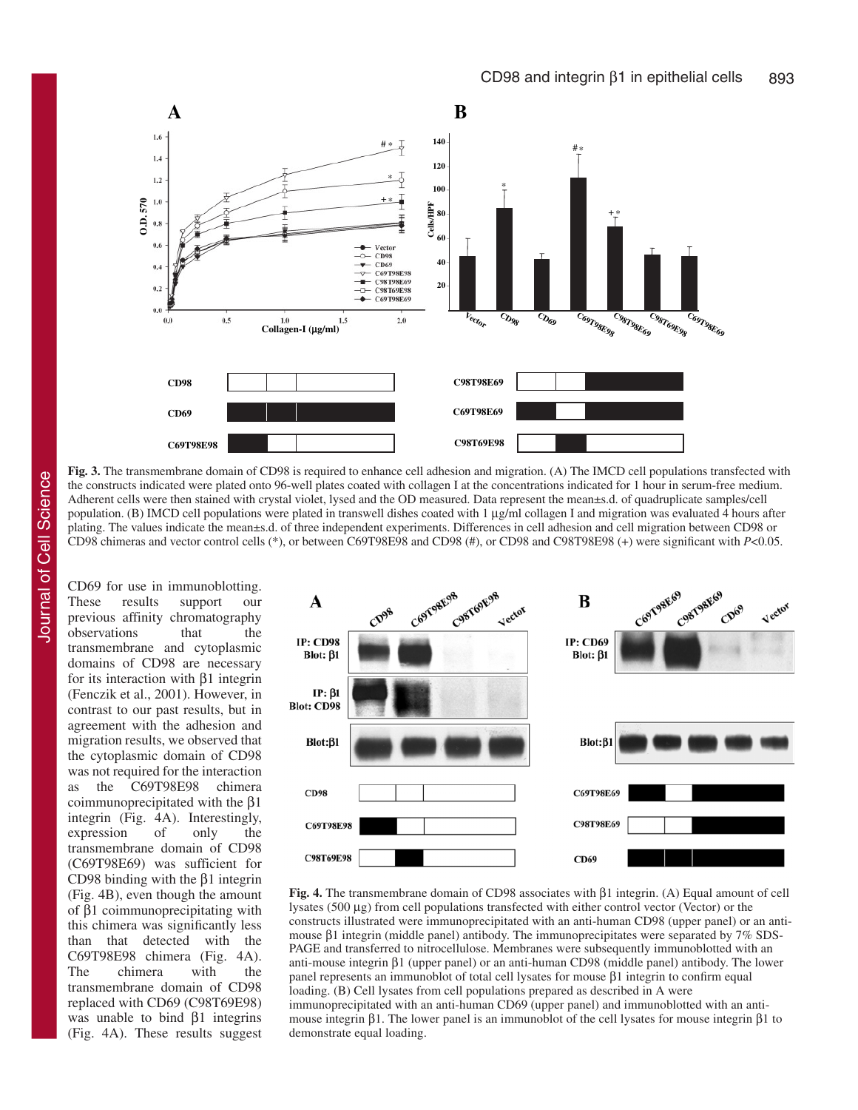

**Fig. 3.** The transmembrane domain of CD98 is required to enhance cell adhesion and migration. (A) The IMCD cell populations transfected with the constructs indicated were plated onto 96-well plates coated with collagen I at the concentrations indicated for 1 hour in serum-free medium. Adherent cells were then stained with crystal violet, lysed and the OD measured. Data represent the mean±s.d. of quadruplicate samples/cell population. (B) IMCD cell populations were plated in transwell dishes coated with 1 µg/ml collagen I and migration was evaluated 4 hours after plating. The values indicate the mean±s.d. of three independent experiments. Differences in cell adhesion and cell migration between CD98 or CD98 chimeras and vector control cells (\*), or between C69T98E98 and CD98 (#), or CD98 and C98T98E98 (+) were significant with *P*<0.05.

Journal of Cell Science Journal of Cell Science

CD69 for use in immunoblotting. These results support our previous affinity chromatography observations that the transmembrane and cytoplasmic domains of CD98 are necessary for its interaction with β1 integrin (Fenczik et al., 2001). However, in contrast to our past results, but in agreement with the adhesion and migration results, we observed that the cytoplasmic domain of CD98 was not required for the interaction as the C69T98E98 chimera coimmunoprecipitated with the β1 integrin (Fig. 4A). Interestingly, expression of only the transmembrane domain of CD98 (C69T98E69) was sufficient for CD98 binding with the β1 integrin (Fig. 4B), even though the amount of β1 coimmunoprecipitating with this chimera was significantly less than that detected with the C69T98E98 chimera (Fig. 4A). The chimera with the transmembrane domain of CD98 replaced with CD69 (C98T69E98) was unable to bind β1 integrins (Fig. 4A). These results suggest



**Fig. 4.** The transmembrane domain of CD98 associates with β1 integrin. (A) Equal amount of cell lysates (500 µg) from cell populations transfected with either control vector (Vector) or the constructs illustrated were immunoprecipitated with an anti-human CD98 (upper panel) or an antimouse β1 integrin (middle panel) antibody. The immunoprecipitates were separated by 7% SDS-PAGE and transferred to nitrocellulose. Membranes were subsequently immunoblotted with an anti-mouse integrin β1 (upper panel) or an anti-human CD98 (middle panel) antibody. The lower panel represents an immunoblot of total cell lysates for mouse β1 integrin to confirm equal loading. (B) Cell lysates from cell populations prepared as described in A were immunoprecipitated with an anti-human CD69 (upper panel) and immunoblotted with an antimouse integrin β1. The lower panel is an immunoblot of the cell lysates for mouse integrin β1 to demonstrate equal loading.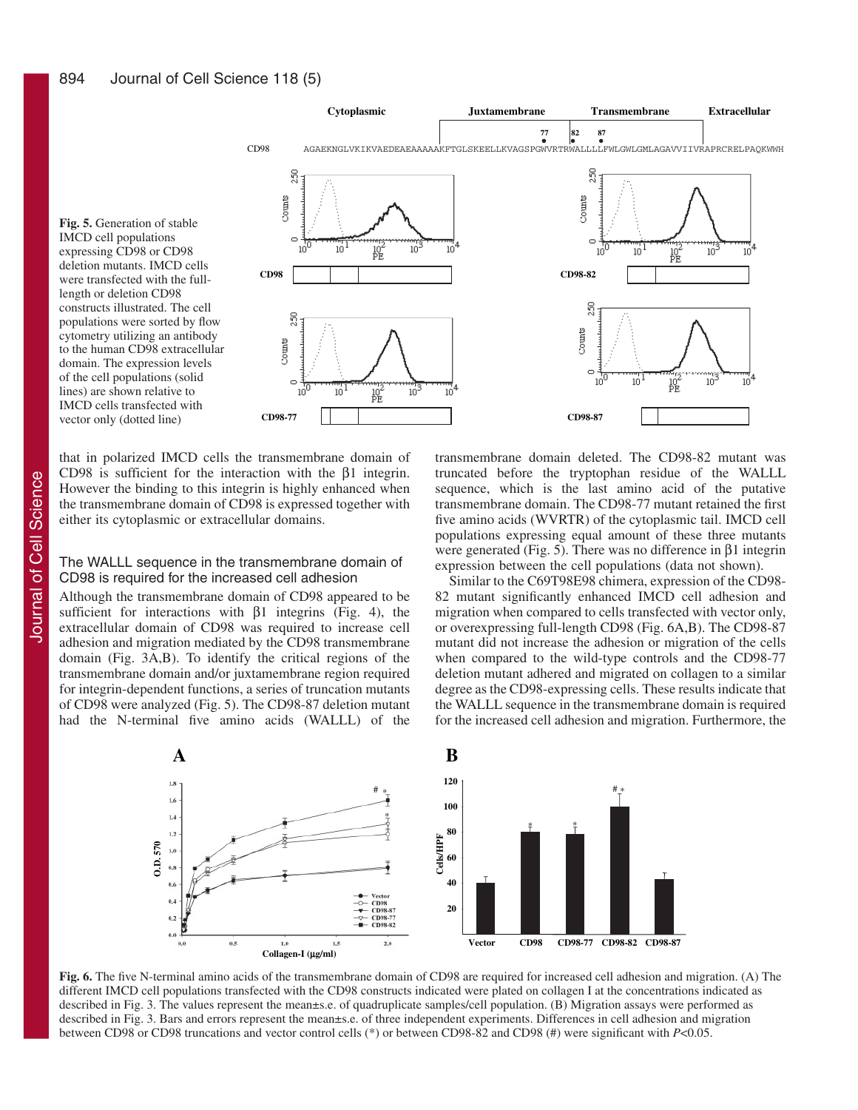IMCD cell populations

length or deletion CD98

vector only (dotted line)



that in polarized IMCD cells the transmembrane domain of CD98 is sufficient for the interaction with the β1 integrin. However the binding to this integrin is highly enhanced when the transmembrane domain of CD98 is expressed together with either its cytoplasmic or extracellular domains.

#### The WALLL sequence in the transmembrane domain of CD98 is required for the increased cell adhesion

Although the transmembrane domain of CD98 appeared to be sufficient for interactions with  $\beta$ 1 integrins (Fig. 4), the extracellular domain of CD98 was required to increase cell adhesion and migration mediated by the CD98 transmembrane domain (Fig. 3A,B). To identify the critical regions of the transmembrane domain and/or juxtamembrane region required for integrin-dependent functions, a series of truncation mutants of CD98 were analyzed (Fig. 5). The CD98-87 deletion mutant had the N-terminal five amino acids (WALLL) of the transmembrane domain deleted. The CD98-82 mutant was truncated before the tryptophan residue of the WALLL sequence, which is the last amino acid of the putative transmembrane domain. The CD98-77 mutant retained the first five amino acids (WVRTR) of the cytoplasmic tail. IMCD cell populations expressing equal amount of these three mutants were generated (Fig. 5). There was no difference in β1 integrin expression between the cell populations (data not shown).

Similar to the C69T98E98 chimera, expression of the CD98- 82 mutant significantly enhanced IMCD cell adhesion and migration when compared to cells transfected with vector only, or overexpressing full-length CD98 (Fig. 6A,B). The CD98-87 mutant did not increase the adhesion or migration of the cells when compared to the wild-type controls and the CD98-77 deletion mutant adhered and migrated on collagen to a similar degree as the CD98-expressing cells. These results indicate that the WALLL sequence in the transmembrane domain is required for the increased cell adhesion and migration. Furthermore, the



**Fig. 6.** The five N-terminal amino acids of the transmembrane domain of CD98 are required for increased cell adhesion and migration. (A) The different IMCD cell populations transfected with the CD98 constructs indicated were plated on collagen I at the concentrations indicated as described in Fig. 3. The values represent the mean±s.e. of quadruplicate samples/cell population. (B) Migration assays were performed as described in Fig. 3. Bars and errors represent the mean±s.e. of three independent experiments. Differences in cell adhesion and migration between CD98 or CD98 truncations and vector control cells (\*) or between CD98-82 and CD98 (#) were significant with *P*<0.05.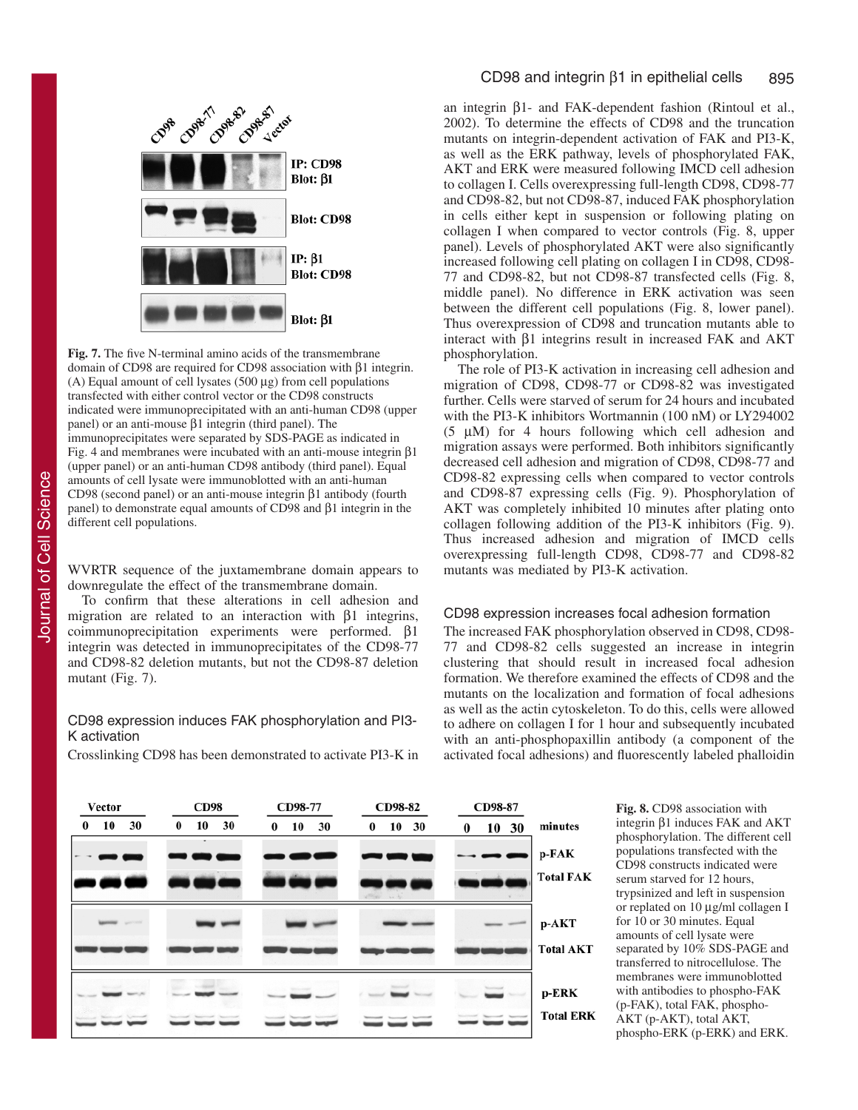

**Fig. 7.** The five N-terminal amino acids of the transmembrane domain of CD98 are required for CD98 association with β1 integrin. (A) Equal amount of cell lysates (500 µg) from cell populations transfected with either control vector or the CD98 constructs indicated were immunoprecipitated with an anti-human CD98 (upper panel) or an anti-mouse β1 integrin (third panel). The immunoprecipitates were separated by SDS-PAGE as indicated in Fig. 4 and membranes were incubated with an anti-mouse integrin β1 (upper panel) or an anti-human CD98 antibody (third panel). Equal amounts of cell lysate were immunoblotted with an anti-human CD98 (second panel) or an anti-mouse integrin β1 antibody (fourth panel) to demonstrate equal amounts of CD98 and β1 integrin in the different cell populations.

WVRTR sequence of the juxtamembrane domain appears to downregulate the effect of the transmembrane domain.

To confirm that these alterations in cell adhesion and migration are related to an interaction with  $\beta$ 1 integrins, coimmunoprecipitation experiments were performed. β1 integrin was detected in immunoprecipitates of the CD98-77 and CD98-82 deletion mutants, but not the CD98-87 deletion mutant (Fig. 7).

#### CD98 expression induces FAK phosphorylation and PI3- K activation

Crosslinking CD98 has been demonstrated to activate PI3-K in

an integrin β1- and FAK-dependent fashion (Rintoul et al., 2002). To determine the effects of CD98 and the truncation mutants on integrin-dependent activation of FAK and PI3-K, as well as the ERK pathway, levels of phosphorylated FAK, AKT and ERK were measured following IMCD cell adhesion to collagen I. Cells overexpressing full-length CD98, CD98-77 and CD98-82, but not CD98-87, induced FAK phosphorylation in cells either kept in suspension or following plating on collagen I when compared to vector controls (Fig. 8, upper panel). Levels of phosphorylated AKT were also significantly increased following cell plating on collagen I in CD98, CD98- 77 and CD98-82, but not CD98-87 transfected cells (Fig. 8, middle panel). No difference in ERK activation was seen between the different cell populations (Fig. 8, lower panel). Thus overexpression of CD98 and truncation mutants able to interact with β1 integrins result in increased FAK and AKT phosphorylation.

The role of PI3-K activation in increasing cell adhesion and migration of CD98, CD98-77 or CD98-82 was investigated further. Cells were starved of serum for 24 hours and incubated with the PI3-K inhibitors Wortmannin (100 nM) or LY294002 (5 µM) for 4 hours following which cell adhesion and migration assays were performed. Both inhibitors significantly decreased cell adhesion and migration of CD98, CD98-77 and CD98-82 expressing cells when compared to vector controls and CD98-87 expressing cells (Fig. 9). Phosphorylation of AKT was completely inhibited 10 minutes after plating onto collagen following addition of the PI3-K inhibitors (Fig. 9). Thus increased adhesion and migration of IMCD cells overexpressing full-length CD98, CD98-77 and CD98-82 mutants was mediated by PI3-K activation.

#### CD98 expression increases focal adhesion formation

The increased FAK phosphorylation observed in CD98, CD98- 77 and CD98-82 cells suggested an increase in integrin clustering that should result in increased focal adhesion formation. We therefore examined the effects of CD98 and the mutants on the localization and formation of focal adhesions as well as the actin cytoskeleton. To do this, cells were allowed to adhere on collagen I for 1 hour and subsequently incubated with an anti-phosphopaxillin antibody (a component of the activated focal adhesions) and fluorescently labeled phalloidin

| Vector               | <b>CD98</b>          | CD98-77              | CD98-82              | CD98-87              |                  |
|----------------------|----------------------|----------------------|----------------------|----------------------|------------------|
| 10<br>30<br>$\bf{0}$ | 30<br>10<br>$\bf{0}$ | 10<br>30<br>$\bf{0}$ | 10<br>30<br>$\bf{0}$ | 10<br>30<br>$\bf{0}$ | minutes          |
|                      |                      |                      |                      |                      | p-FAK            |
| ш.                   | . I                  | n                    |                      |                      | <b>Total FAK</b> |
|                      |                      |                      |                      |                      | p-AKT            |
|                      |                      |                      |                      |                      |                  |
|                      |                      |                      |                      |                      | <b>Total AKT</b> |
|                      |                      |                      |                      |                      | p-ERK            |
|                      |                      |                      |                      |                      | <b>Total ERK</b> |

**Fig. 8.** CD98 association with integrin β1 induces FAK and AKT phosphorylation. The different cell populations transfected with the CD98 constructs indicated were serum starved for 12 hours, trypsinized and left in suspension or replated on 10 µg/ml collagen I for 10 or 30 minutes. Equal amounts of cell lysate were separated by 10% SDS-PAGE and transferred to nitrocellulose. The membranes were immunoblotted with antibodies to phospho-FAK (p-FAK), total FAK, phospho-AKT (p-AKT), total AKT, phospho-ERK (p-ERK) and ERK.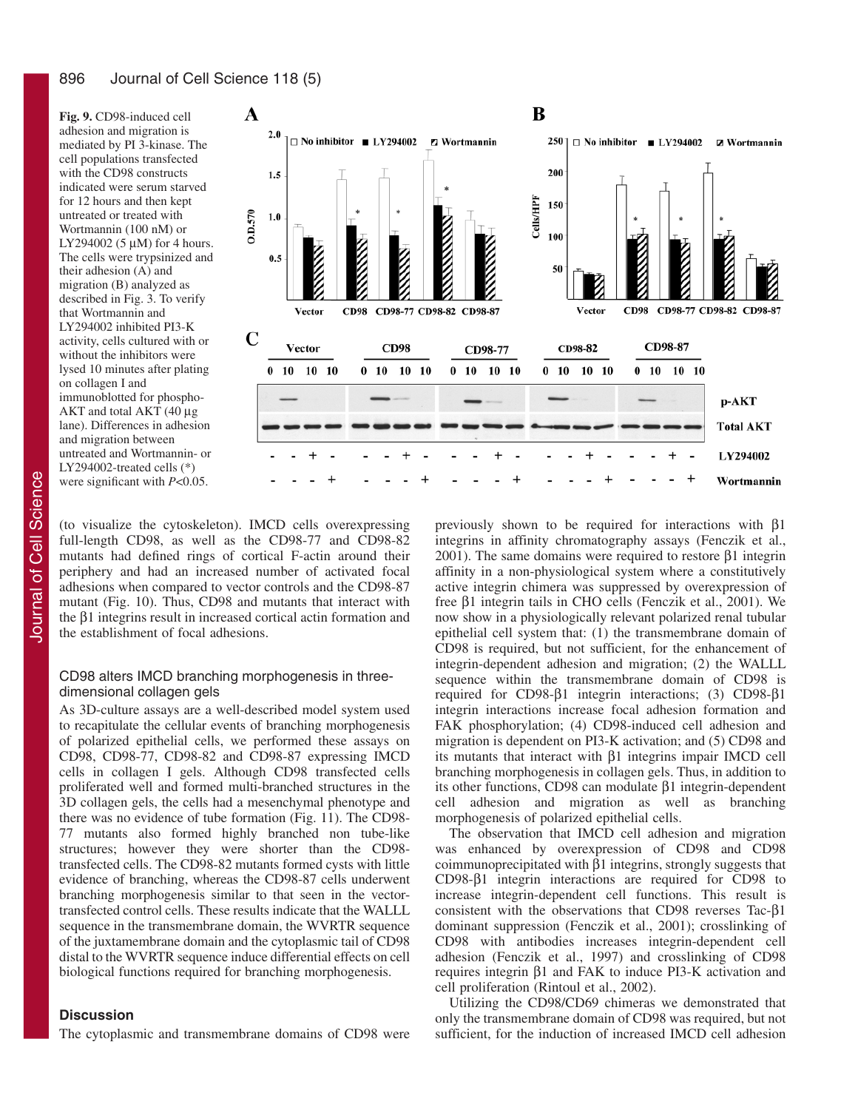**Fig. 9.** CD98-induced cell adhesion and migration is mediated by PI 3-kinase. The cell populations transfected with the CD98 constructs indicated were serum starved for 12 hours and then kept untreated or treated with Wortmannin (100 nM) or LY294002 (5  $\mu$ M) for 4 hours. The cells were trypsinized and their adhesion (A) and migration (B) analyzed as described in Fig. 3. To verify that Wortmannin and LY294002 inhibited PI3-K activity, cells cultured with or without the inhibitors were lysed 10 minutes after plating on collagen I and immunoblotted for phospho-AKT and total AKT (40 µg lane). Differences in adhesion and migration between untreated and Wortmannin- or LY294002-treated cells (\*) were significant with *P*<0.05.



(to visualize the cytoskeleton). IMCD cells overexpressing full-length CD98, as well as the CD98-77 and CD98-82 mutants had defined rings of cortical F-actin around their periphery and had an increased number of activated focal adhesions when compared to vector controls and the CD98-87 mutant (Fig. 10). Thus, CD98 and mutants that interact with the β1 integrins result in increased cortical actin formation and the establishment of focal adhesions.

#### CD98 alters IMCD branching morphogenesis in threedimensional collagen gels

As 3D-culture assays are a well-described model system used to recapitulate the cellular events of branching morphogenesis of polarized epithelial cells, we performed these assays on CD98, CD98-77, CD98-82 and CD98-87 expressing IMCD cells in collagen I gels. Although CD98 transfected cells proliferated well and formed multi-branched structures in the 3D collagen gels, the cells had a mesenchymal phenotype and there was no evidence of tube formation (Fig. 11). The CD98- 77 mutants also formed highly branched non tube-like structures; however they were shorter than the CD98 transfected cells. The CD98-82 mutants formed cysts with little evidence of branching, whereas the CD98-87 cells underwent branching morphogenesis similar to that seen in the vectortransfected control cells. These results indicate that the WALLL sequence in the transmembrane domain, the WVRTR sequence of the juxtamembrane domain and the cytoplasmic tail of CD98 distal to the WVRTR sequence induce differential effects on cell biological functions required for branching morphogenesis.

### **Discussion**

The cytoplasmic and transmembrane domains of CD98 were

previously shown to be required for interactions with β1 integrins in affinity chromatography assays (Fenczik et al., 2001). The same domains were required to restore β1 integrin affinity in a non-physiological system where a constitutively active integrin chimera was suppressed by overexpression of free β1 integrin tails in CHO cells (Fenczik et al., 2001). We now show in a physiologically relevant polarized renal tubular epithelial cell system that: (1) the transmembrane domain of CD98 is required, but not sufficient, for the enhancement of integrin-dependent adhesion and migration; (2) the WALLL sequence within the transmembrane domain of CD98 is required for CD98-β1 integrin interactions; (3) CD98-β1 integrin interactions increase focal adhesion formation and FAK phosphorylation; (4) CD98-induced cell adhesion and migration is dependent on PI3-K activation; and (5) CD98 and its mutants that interact with β1 integrins impair IMCD cell branching morphogenesis in collagen gels. Thus, in addition to its other functions, CD98 can modulate β1 integrin-dependent cell adhesion and migration as well as branching morphogenesis of polarized epithelial cells.

The observation that IMCD cell adhesion and migration was enhanced by overexpression of CD98 and CD98 coimmunoprecipitated with β1 integrins, strongly suggests that CD98-β1 integrin interactions are required for CD98 to increase integrin-dependent cell functions. This result is consistent with the observations that CD98 reverses Tac-β1 dominant suppression (Fenczik et al., 2001); crosslinking of CD98 with antibodies increases integrin-dependent cell adhesion (Fenczik et al., 1997) and crosslinking of CD98 requires integrin β1 and FAK to induce PI3-K activation and cell proliferation (Rintoul et al., 2002).

Utilizing the CD98/CD69 chimeras we demonstrated that only the transmembrane domain of CD98 was required, but not sufficient, for the induction of increased IMCD cell adhesion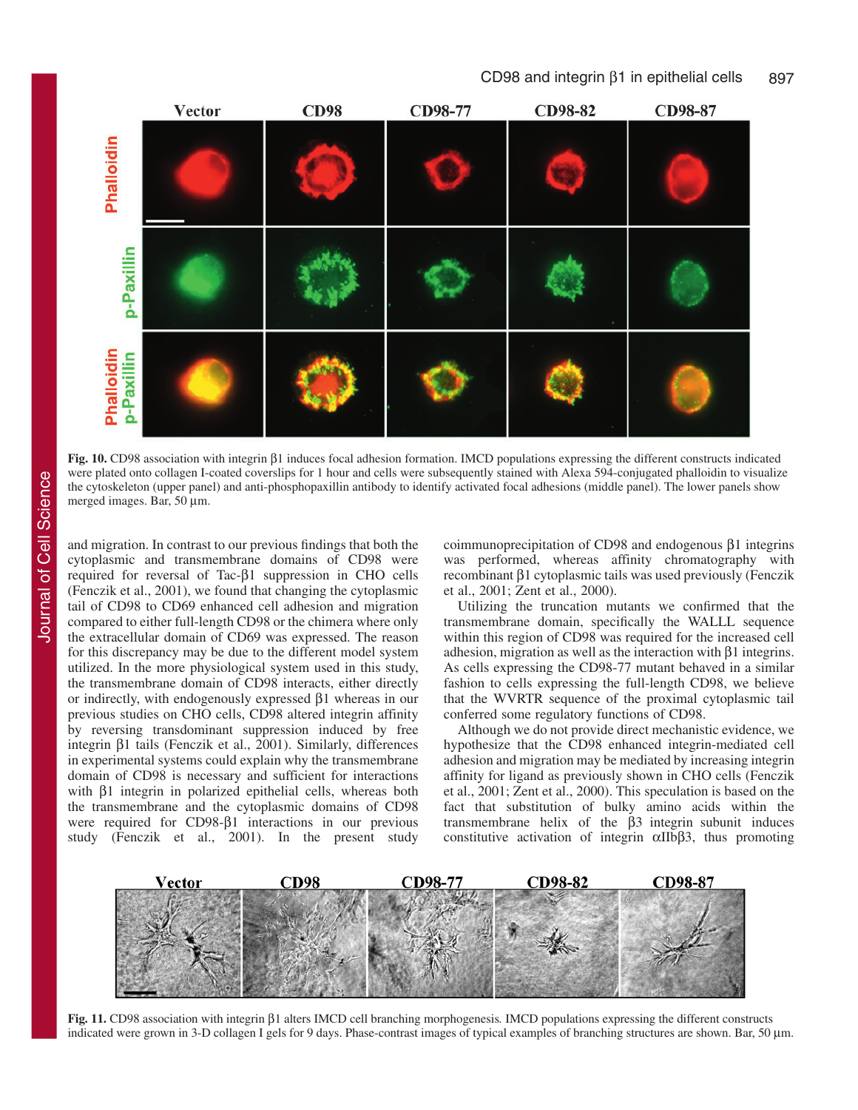



**Fig. 10.** CD98 association with integrin β1 induces focal adhesion formation. IMCD populations expressing the different constructs indicated were plated onto collagen I-coated coverslips for 1 hour and cells were subsequently stained with Alexa 594-conjugated phalloidin to visualize the cytoskeleton (upper panel) and anti-phosphopaxillin antibody to identify activated focal adhesions (middle panel). The lower panels show merged images. Bar, 50 µm.

and migration. In contrast to our previous findings that both the cytoplasmic and transmembrane domains of CD98 were required for reversal of Tac-β1 suppression in CHO cells (Fenczik et al., 2001), we found that changing the cytoplasmic tail of CD98 to CD69 enhanced cell adhesion and migration compared to either full-length CD98 or the chimera where only the extracellular domain of CD69 was expressed. The reason for this discrepancy may be due to the different model system utilized. In the more physiological system used in this study, the transmembrane domain of CD98 interacts, either directly or indirectly, with endogenously expressed β1 whereas in our previous studies on CHO cells, CD98 altered integrin affinity by reversing transdominant suppression induced by free integrin β1 tails (Fenczik et al., 2001). Similarly, differences in experimental systems could explain why the transmembrane domain of CD98 is necessary and sufficient for interactions with β1 integrin in polarized epithelial cells, whereas both the transmembrane and the cytoplasmic domains of CD98 were required for CD98-β1 interactions in our previous study (Fenczik et al., 2001). In the present study coimmunoprecipitation of CD98 and endogenous β1 integrins was performed, whereas affinity chromatography with recombinant β1 cytoplasmic tails was used previously (Fenczik et al., 2001; Zent et al., 2000).

Utilizing the truncation mutants we confirmed that the transmembrane domain, specifically the WALLL sequence within this region of CD98 was required for the increased cell adhesion, migration as well as the interaction with  $\beta$ 1 integrins. As cells expressing the CD98-77 mutant behaved in a similar fashion to cells expressing the full-length CD98, we believe that the WVRTR sequence of the proximal cytoplasmic tail conferred some regulatory functions of CD98.

Although we do not provide direct mechanistic evidence, we hypothesize that the CD98 enhanced integrin-mediated cell adhesion and migration may be mediated by increasing integrin affinity for ligand as previously shown in CHO cells (Fenczik et al., 2001; Zent et al., 2000). This speculation is based on the fact that substitution of bulky amino acids within the transmembrane helix of the β3 integrin subunit induces constitutive activation of integrin αIIbβ3, thus promoting



**Fig. 11.** CD98 association with integrin β1 alters IMCD cell branching morphogenesis*.* IMCD populations expressing the different constructs indicated were grown in 3-D collagen I gels for 9 days. Phase-contrast images of typical examples of branching structures are shown. Bar, 50 µm.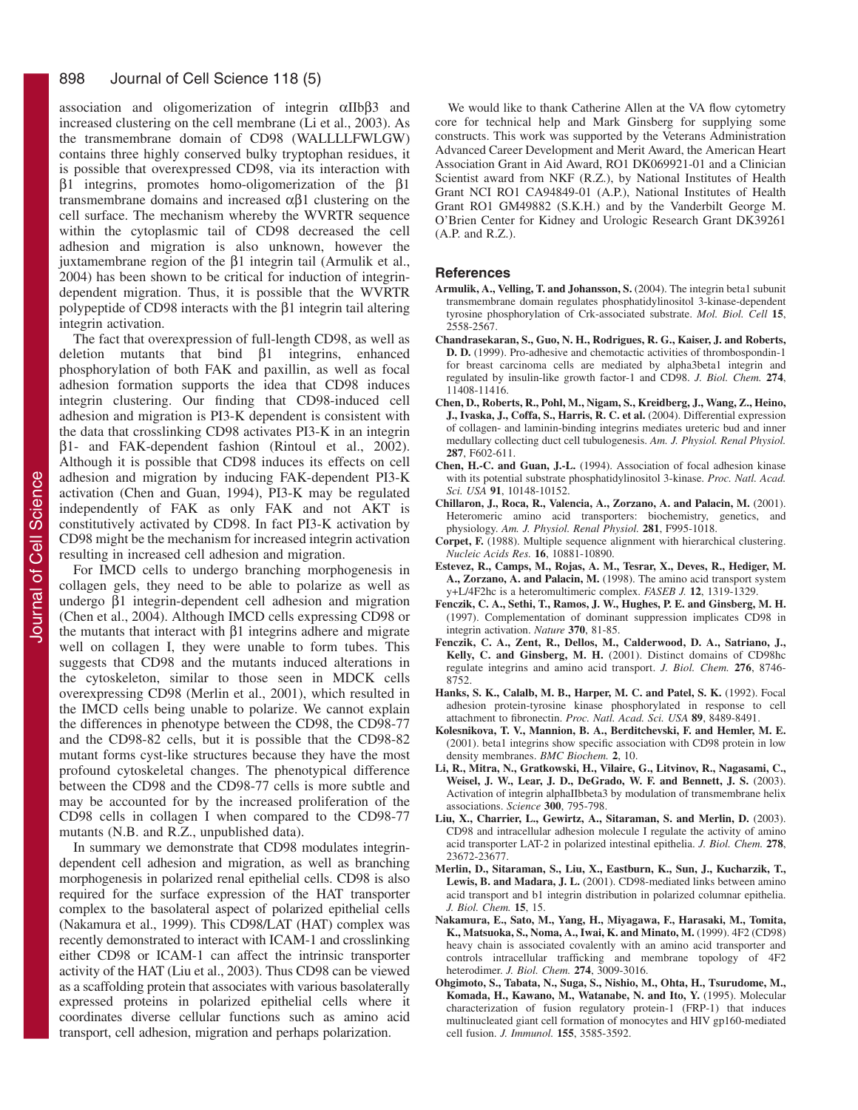association and oligomerization of integrin αIIbβ3 and increased clustering on the cell membrane (Li et al., 2003). As the transmembrane domain of CD98 (WALLLLFWLGW) contains three highly conserved bulky tryptophan residues, it is possible that overexpressed CD98, via its interaction with β1 integrins, promotes homo-oligomerization of the β1 transmembrane domains and increased αβ1 clustering on the cell surface. The mechanism whereby the WVRTR sequence within the cytoplasmic tail of CD98 decreased the cell adhesion and migration is also unknown, however the juxtamembrane region of the β1 integrin tail (Armulik et al., 2004) has been shown to be critical for induction of integrindependent migration. Thus, it is possible that the WVRTR polypeptide of CD98 interacts with the β1 integrin tail altering integrin activation.

The fact that overexpression of full-length CD98, as well as deletion mutants that bind β1 integrins, enhanced phosphorylation of both FAK and paxillin, as well as focal adhesion formation supports the idea that CD98 induces integrin clustering. Our finding that CD98-induced cell adhesion and migration is PI3-K dependent is consistent with the data that crosslinking CD98 activates PI3-K in an integrin β1- and FAK-dependent fashion (Rintoul et al., 2002). Although it is possible that CD98 induces its effects on cell adhesion and migration by inducing FAK-dependent PI3-K activation (Chen and Guan, 1994), PI3-K may be regulated independently of FAK as only FAK and not AKT is constitutively activated by CD98. In fact PI3-K activation by CD98 might be the mechanism for increased integrin activation resulting in increased cell adhesion and migration.

For IMCD cells to undergo branching morphogenesis in collagen gels, they need to be able to polarize as well as undergo β1 integrin-dependent cell adhesion and migration (Chen et al., 2004). Although IMCD cells expressing CD98 or the mutants that interact with β1 integrins adhere and migrate well on collagen I, they were unable to form tubes. This suggests that CD98 and the mutants induced alterations in the cytoskeleton, similar to those seen in MDCK cells overexpressing CD98 (Merlin et al., 2001), which resulted in the IMCD cells being unable to polarize. We cannot explain the differences in phenotype between the CD98, the CD98-77 and the CD98-82 cells, but it is possible that the CD98-82 mutant forms cyst-like structures because they have the most profound cytoskeletal changes. The phenotypical difference between the CD98 and the CD98-77 cells is more subtle and may be accounted for by the increased proliferation of the CD98 cells in collagen I when compared to the CD98-77 mutants (N.B. and R.Z., unpublished data).

In summary we demonstrate that CD98 modulates integrindependent cell adhesion and migration, as well as branching morphogenesis in polarized renal epithelial cells. CD98 is also required for the surface expression of the HAT transporter complex to the basolateral aspect of polarized epithelial cells (Nakamura et al., 1999). This CD98/LAT (HAT) complex was recently demonstrated to interact with ICAM-1 and crosslinking either CD98 or ICAM-1 can affect the intrinsic transporter activity of the HAT (Liu et al., 2003). Thus CD98 can be viewed as a scaffolding protein that associates with various basolaterally expressed proteins in polarized epithelial cells where it coordinates diverse cellular functions such as amino acid transport, cell adhesion, migration and perhaps polarization.

We would like to thank Catherine Allen at the VA flow cytometry core for technical help and Mark Ginsberg for supplying some constructs. This work was supported by the Veterans Administration Advanced Career Development and Merit Award, the American Heart Association Grant in Aid Award, RO1 DK069921-01 and a Clinician Scientist award from NKF (R.Z.), by National Institutes of Health Grant NCI RO1 CA94849-01 (A.P.), National Institutes of Health Grant RO1 GM49882 (S.K.H.) and by the Vanderbilt George M. O'Brien Center for Kidney and Urologic Research Grant DK39261 (A.P. and R.Z.).

#### **References**

- **Armulik, A., Velling, T. and Johansson, S.** (2004). The integrin beta1 subunit transmembrane domain regulates phosphatidylinositol 3-kinase-dependent tyrosine phosphorylation of Crk-associated substrate. *Mol. Biol. Cell* **15**, 2558-2567.
- **Chandrasekaran, S., Guo, N. H., Rodrigues, R. G., Kaiser, J. and Roberts, D. D.** (1999). Pro-adhesive and chemotactic activities of thrombospondin-1 for breast carcinoma cells are mediated by alpha3beta1 integrin and regulated by insulin-like growth factor-1 and CD98. *J. Biol. Chem.* **274**, 11408-11416.
- **Chen, D., Roberts, R., Pohl, M., Nigam, S., Kreidberg, J., Wang, Z., Heino, J., Ivaska, J., Coffa, S., Harris, R. C. et al.** (2004). Differential expression of collagen- and laminin-binding integrins mediates ureteric bud and inner medullary collecting duct cell tubulogenesis. *Am. J. Physiol. Renal Physiol.* **287**, F602-611.
- **Chen, H.-C. and Guan, J.-L.** (1994). Association of focal adhesion kinase with its potential substrate phosphatidylinositol 3-kinase. *Proc. Natl. Acad. Sci. USA* **91**, 10148-10152.
- **Chillaron, J., Roca, R., Valencia, A., Zorzano, A. and Palacin, M.** (2001). Heteromeric amino acid transporters: biochemistry, genetics, and physiology. *Am. J. Physiol. Renal Physiol.* **281**, F995-1018.
- **Corpet, F.** (1988). Multiple sequence alignment with hierarchical clustering. *Nucleic Acids Res.* **16**, 10881-10890.
- **Estevez, R., Camps, M., Rojas, A. M., Tesrar, X., Deves, R., Hediger, M. A., Zorzano, A. and Palacin, M.** (1998). The amino acid transport system y+L/4F2hc is a heteromultimeric complex. *FASEB J.* **12**, 1319-1329.
- **Fenczik, C. A., Sethi, T., Ramos, J. W., Hughes, P. E. and Ginsberg, M. H.** (1997). Complementation of dominant suppression implicates CD98 in integrin activation. *Nature* **370**, 81-85.
- **Fenczik, C. A., Zent, R., Dellos, M., Calderwood, D. A., Satriano, J., Kelly, C. and Ginsberg, M. H.** (2001). Distinct domains of CD98hc regulate integrins and amino acid transport. *J. Biol. Chem.* **276**, 8746- 8752.
- **Hanks, S. K., Calalb, M. B., Harper, M. C. and Patel, S. K.** (1992). Focal adhesion protein-tyrosine kinase phosphorylated in response to cell attachment to fibronectin. *Proc. Natl. Acad. Sci. USA* **89**, 8489-8491.
- **Kolesnikova, T. V., Mannion, B. A., Berditchevski, F. and Hemler, M. E.** (2001). beta1 integrins show specific association with CD98 protein in low density membranes. *BMC Biochem.* **2**, 10.
- **Li, R., Mitra, N., Gratkowski, H., Vilaire, G., Litvinov, R., Nagasami, C., Weisel, J. W., Lear, J. D., DeGrado, W. F. and Bennett, J. S.** (2003). Activation of integrin alphaIIbbeta3 by modulation of transmembrane helix associations. *Science* **300**, 795-798.
- **Liu, X., Charrier, L., Gewirtz, A., Sitaraman, S. and Merlin, D.** (2003). CD98 and intracellular adhesion molecule I regulate the activity of amino acid transporter LAT-2 in polarized intestinal epithelia. *J. Biol. Chem.* **278**, 23672-23677.
- **Merlin, D., Sitaraman, S., Liu, X., Eastburn, K., Sun, J., Kucharzik, T., Lewis, B. and Madara, J. L.** (2001). CD98-mediated links between amino acid transport and b1 integrin distribution in polarized columnar epithelia. *J. Biol. Chem.* **15**, 15.
- **Nakamura, E., Sato, M., Yang, H., Miyagawa, F., Harasaki, M., Tomita, K., Matsuoka, S., Noma, A., Iwai, K. and Minato, M.** (1999). 4F2 (CD98) heavy chain is associated covalently with an amino acid transporter and controls intracellular trafficking and membrane topology of 4F2 heterodimer. *J. Biol. Chem.* **274**, 3009-3016.
- **Ohgimoto, S., Tabata, N., Suga, S., Nishio, M., Ohta, H., Tsurudome, M., Komada, H., Kawano, M., Watanabe, N. and Ito, Y.** (1995). Molecular characterization of fusion regulatory protein-1 (FRP-1) that induces multinucleated giant cell formation of monocytes and HIV gp160-mediated cell fusion. *J. Immunol.* **155**, 3585-3592.